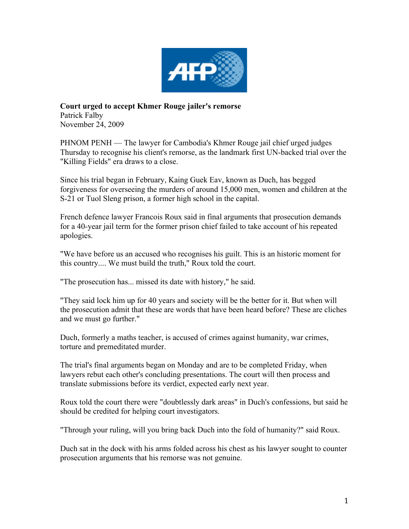

**Court urged to accept Khmer Rouge jailer's remorse** Patrick Falby November 24, 2009

PHNOM PENH — The lawyer for Cambodia's Khmer Rouge jail chief urged judges Thursday to recognise his client's remorse, as the landmark first UN-backed trial over the "Killing Fields" era draws to a close.

Since his trial began in February, Kaing Guek Eav, known as Duch, has begged forgiveness for overseeing the murders of around 15,000 men, women and children at the S-21 or Tuol Sleng prison, a former high school in the capital.

French defence lawyer Francois Roux said in final arguments that prosecution demands for a 40-year jail term for the former prison chief failed to take account of his repeated apologies.

"We have before us an accused who recognises his guilt. This is an historic moment for this country.... We must build the truth," Roux told the court.

"The prosecution has... missed its date with history," he said.

"They said lock him up for 40 years and society will be the better for it. But when will the prosecution admit that these are words that have been heard before? These are cliches and we must go further."

Duch, formerly a maths teacher, is accused of crimes against humanity, war crimes, torture and premeditated murder.

The trial's final arguments began on Monday and are to be completed Friday, when lawyers rebut each other's concluding presentations. The court will then process and translate submissions before its verdict, expected early next year.

Roux told the court there were "doubtlessly dark areas" in Duch's confessions, but said he should be credited for helping court investigators.

"Through your ruling, will you bring back Duch into the fold of humanity?" said Roux.

Duch sat in the dock with his arms folded across his chest as his lawyer sought to counter prosecution arguments that his remorse was not genuine.